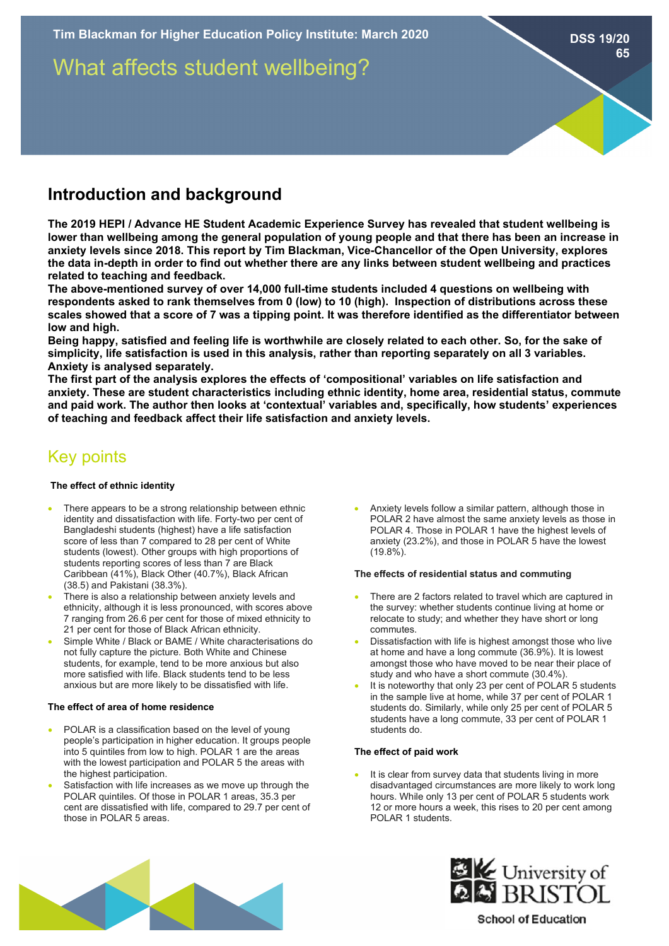What affects student wellbeing?

# **Introduction and background**

**The 2019 HEPI / Advance HE Student Academic Experience Survey has revealed that student wellbeing is lower than wellbeing among the general population of young people and that there has been an increase in anxiety levels since 2018. This report by Tim Blackman, Vice-Chancellor of the Open University, explores the data in-depth in order to find out whether there are any links between student wellbeing and practices related to teaching and feedback.** 

**The above-mentioned survey of over 14,000 full-time students included 4 questions on wellbeing with respondents asked to rank themselves from 0 (low) to 10 (high). Inspection of distributions across these scales showed that a score of 7 was a tipping point. It was therefore identified as the differentiator between low and high.** 

**Being happy, satisfied and feeling life is worthwhile are closely related to each other. So, for the sake of simplicity, life satisfaction is used in this analysis, rather than reporting separately on all 3 variables. Anxiety is analysed separately.** 

**The first part of the analysis explores the effects of 'compositional' variables on life satisfaction and anxiety. These are student characteristics including ethnic identity, home area, residential status, commute and paid work. The author then looks at 'contextual' variables and, specifically, how students' experiences of teaching and feedback affect their life satisfaction and anxiety levels.** 

# Key points

## **The effect of ethnic identity**

- There appears to be a strong relationship between ethnic identity and dissatisfaction with life. Forty-two per cent of Bangladeshi students (highest) have a life satisfaction score of less than 7 compared to 28 per cent of White students (lowest). Other groups with high proportions of students reporting scores of less than 7 are Black Caribbean (41%), Black Other (40.7%), Black African (38.5) and Pakistani (38.3%).
- There is also a relationship between anxiety levels and ethnicity, although it is less pronounced, with scores above 7 ranging from 26.6 per cent for those of mixed ethnicity to 21 per cent for those of Black African ethnicity.
- Simple White / Black or BAME / White characterisations do not fully capture the picture. Both White and Chinese students, for example, tend to be more anxious but also more satisfied with life. Black students tend to be less anxious but are more likely to be dissatisfied with life.

## **The effect of area of home residence**

- POLAR is a classification based on the level of young people's participation in higher education. It groups people into 5 quintiles from low to high. POLAR 1 are the areas with the lowest participation and POLAR 5 the areas with the highest participation.
- Satisfaction with life increases as we move up through the POLAR quintiles. Of those in POLAR 1 areas, 35.3 per cent are dissatisfied with life, compared to 29.7 per cent of those in POLAR 5 areas.

• Anxiety levels follow a similar pattern, although those in POLAR 2 have almost the same anxiety levels as those in POLAR 4. Those in POLAR 1 have the highest levels of anxiety (23.2%), and those in POLAR 5 have the lowest (19.8%).

## **The effects of residential status and commuting**

- There are 2 factors related to travel which are captured in the survey: whether students continue living at home or relocate to study; and whether they have short or long commutes.
- Dissatisfaction with life is highest amongst those who live at home and have a long commute (36.9%). It is lowest amongst those who have moved to be near their place of study and who have a short commute (30.4%).
- It is noteworthy that only 23 per cent of POLAR 5 students in the sample live at home, while 37 per cent of POLAR 1 students do. Similarly, while only 25 per cent of POLAR 5 students have a long commute, 33 per cent of POLAR 1 students do.

## **The effect of paid work**

It is clear from survey data that students living in more disadvantaged circumstances are more likely to work long hours. While only 13 per cent of POLAR 5 students work 12 or more hours a week, this rises to 20 per cent among POLAR 1 students.





**School of Education** 

#### **DSS 19/20 65**